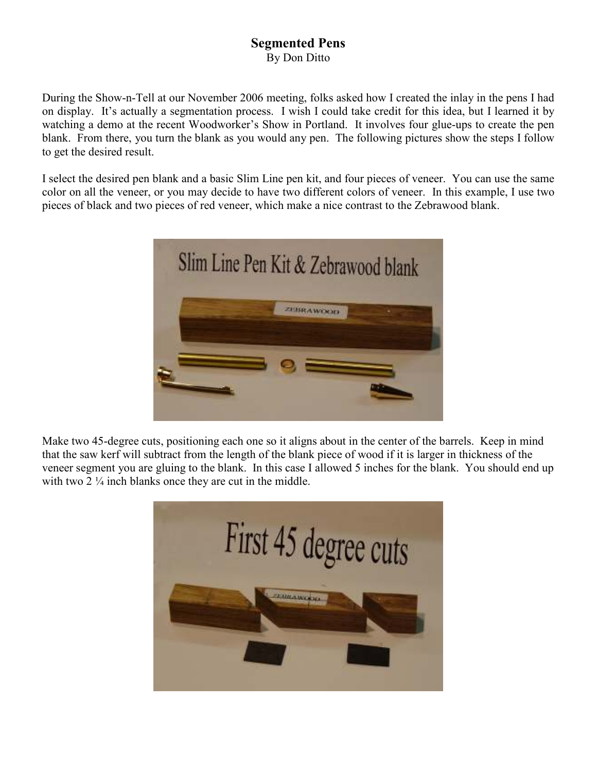## Segmented Pens By Don Ditto

During the Show-n-Tell at our November 2006 meeting, folks asked how I created the inlay in the pens I had on display. It's actually a segmentation process. I wish I could take credit for this idea, but I learned it by watching a demo at the recent Woodworker's Show in Portland. It involves four glue-ups to create the pen blank. From there, you turn the blank as you would any pen. The following pictures show the steps I follow to get the desired result.

I select the desired pen blank and a basic Slim Line pen kit, and four pieces of veneer. You can use the same color on all the veneer, or you may decide to have two different colors of veneer. In this example, I use two pieces of black and two pieces of red veneer, which make a nice contrast to the Zebrawood blank.



Make two 45-degree cuts, positioning each one so it aligns about in the center of the barrels. Keep in mind that the saw kerf will subtract from the length of the blank piece of wood if it is larger in thickness of the veneer segment you are gluing to the blank. In this case I allowed 5 inches for the blank. You should end up with two 2  $\frac{1}{4}$  inch blanks once they are cut in the middle.

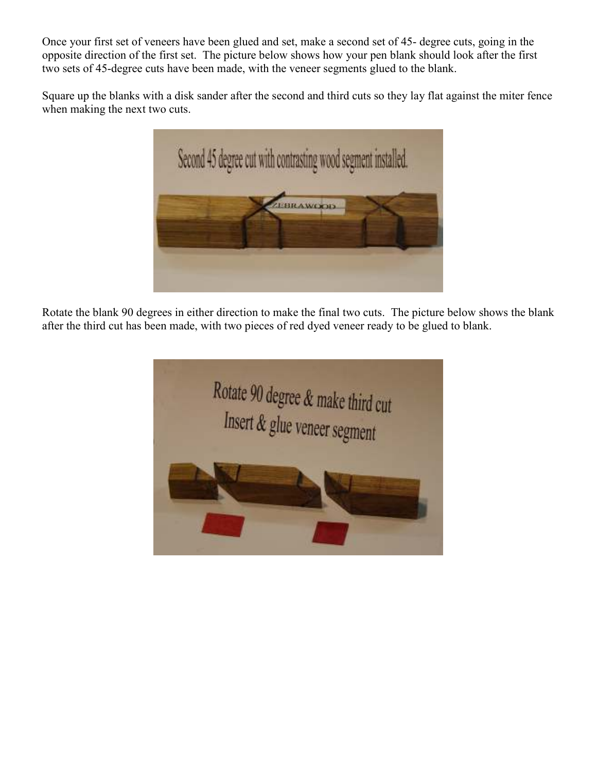Once your first set of veneers have been glued and set, make a second set of 45- degree cuts, going in the opposite direction of the first set. The picture below shows how your pen blank should look after the first two sets of 45-degree cuts have been made, with the veneer segments glued to the blank.

Square up the blanks with a disk sander after the second and third cuts so they lay flat against the miter fence when making the next two cuts.



Rotate the blank 90 degrees in either direction to make the final two cuts. The picture below shows the blank after the third cut has been made, with two pieces of red dyed veneer ready to be glued to blank.

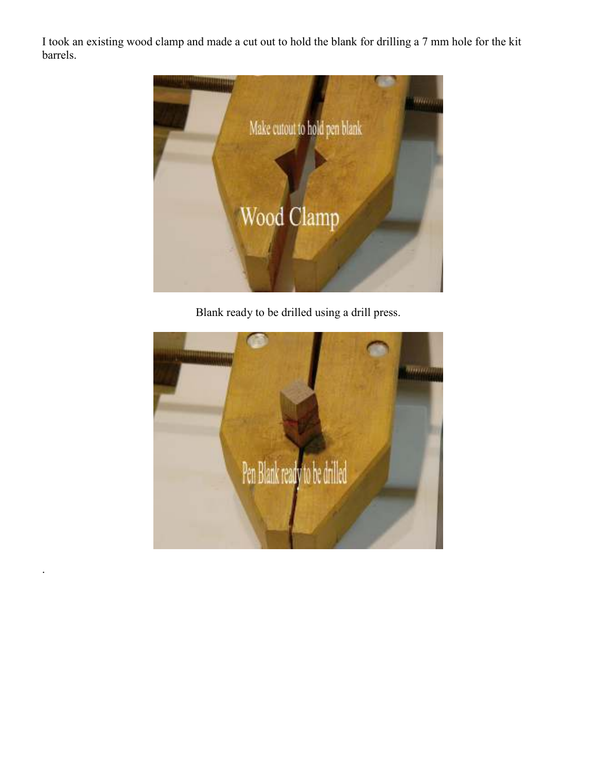I took an existing wood clamp and made a cut out to hold the blank for drilling a 7 mm hole for the kit barrels.



Blank ready to be drilled using a drill press.



.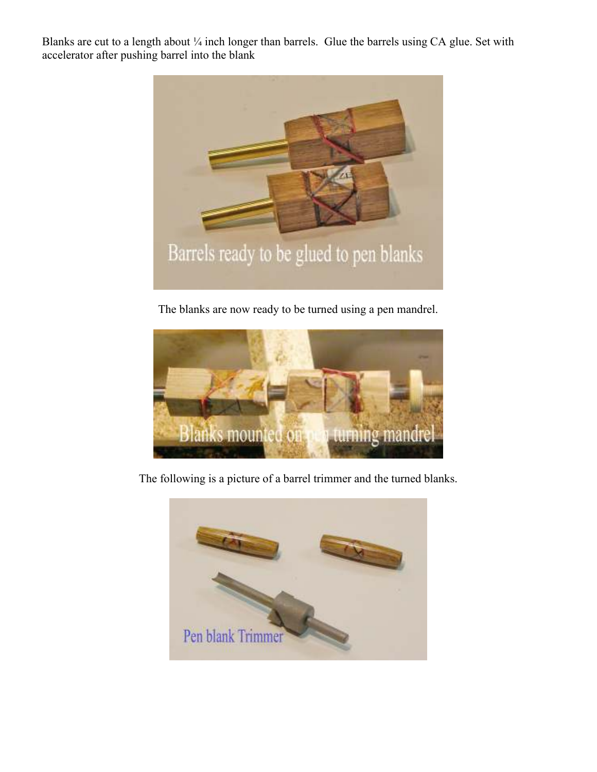Blanks are cut to a length about  $\frac{1}{4}$  inch longer than barrels. Glue the barrels using CA glue. Set with accelerator after pushing barrel into the blank



The blanks are now ready to be turned using a pen mandrel.



The following is a picture of a barrel trimmer and the turned blanks.

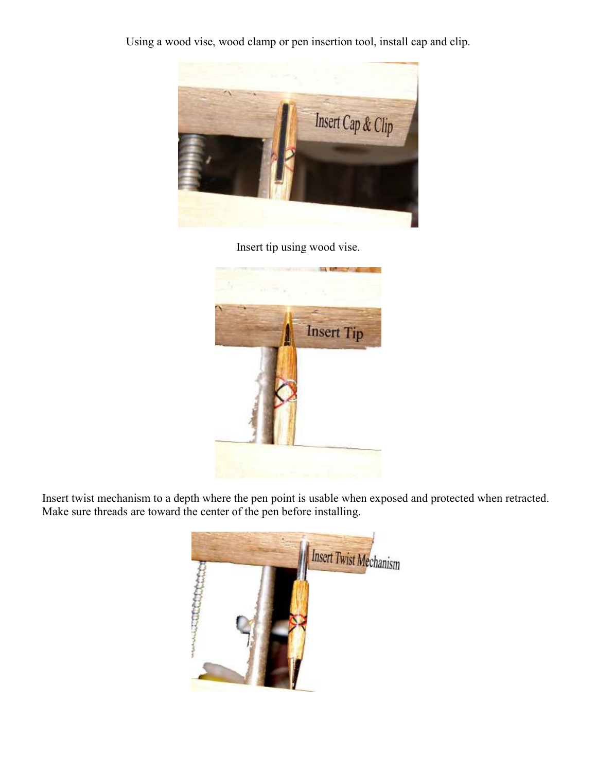Using a wood vise, wood clamp or pen insertion tool, install cap and clip.



Insert tip using wood vise.



Insert twist mechanism to a depth where the pen point is usable when exposed and protected when retracted. Make sure threads are toward the center of the pen before installing.